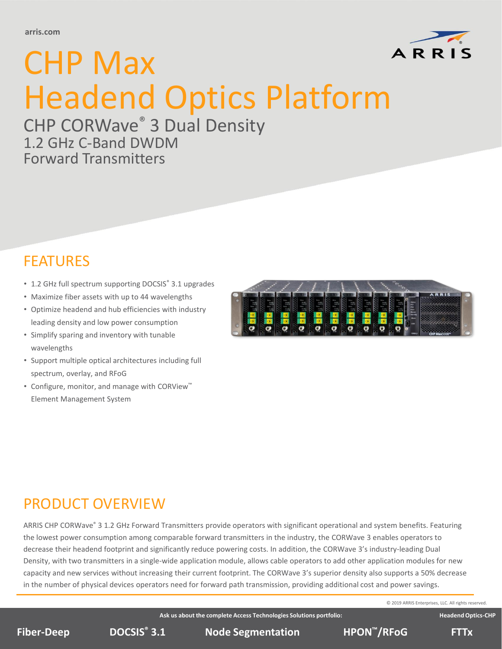

# CHP CORWave® 3 Dual Density 1.2 GHz C-Band DWDM Forward Transmitters

# FEATURES

- 1.2 GHz full spectrum supporting DOCSIS® 3.1 upgrades
- Maximize fiber assets with up to 44 wavelengths
- Optimize headend and hub efficiencies with industry leading density and low power consumption
- Simplify sparing and inventory with tunable wavelengths
- Support multiple optical architectures including full spectrum, overlay, and RFoG
- Configure, monitor, and manage with CORView™ Element Management System



# PRODUCT OVERVIEW

ARRIS CHP CORWave® 3 1.2 GHz Forward Transmitters provide operators with significant operational and system benefits. Featuring the lowest power consumption among comparable forward transmitters in the industry, the CORWave 3 enables operators to decrease their headend footprint and significantly reduce powering costs. In addition, the CORWave 3's industry-leading Dual Density, with two transmitters in a single-wide application module, allows cable operators to add other application modules for new capacity and new services without increasing their current footprint. The CORWave 3's superior density also supports a 50% decrease in the number of physical devices operators need for forward path transmission, providing additional cost and power savings.

© 2019 ARRIS Enterprises, LLC. All rights reserved.

**Headend Optics-CHP** 

**Ask us about the complete Access Technologies Solutions portfolio:**

**DOCSIS Node Segmentation ® Fiber-Deep 3.1 HPON™/RFoG FTTx**

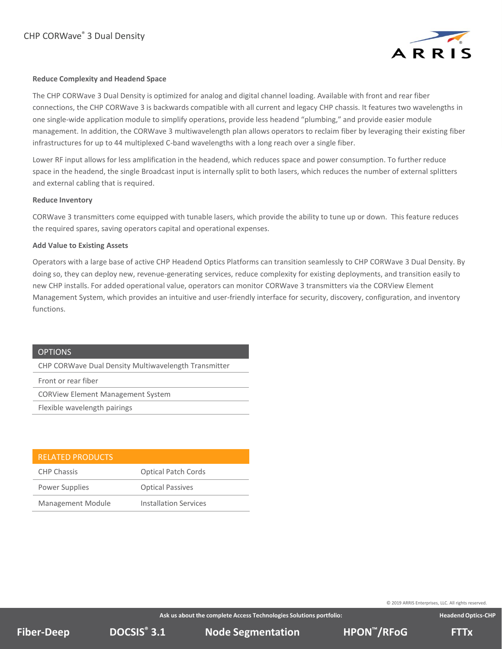

### **Reduce Complexity and Headend Space**

management. In addition, the converger mantivavelength pian anows operators to reclaim moet<br>infrastructures for up to 44 multiplexed C-band wavelengths with a long reach over a single fiber. The CHP CORWave 3 Dual Density is optimized for analog and digital channel loading. Available with front and rear fiber connections, the CHP CORWave 3 is backwards compatible with all current and legacy CHP chassis. It features two wavelengths in one single-wide application module to simplify operations, provide less headend "plumbing," and provide easier module management. In addition, the CORWave 3 multiwavelength plan allows operators to reclaim fiber by leveraging their existing fiber

Lower RF input allows for less amplification in the headend, which reduces space and power consumption. To further reduce space in the headend, the single Broadcast input is internally split to both lasers, which reduces the number of external splitters and external cabling that is required.<br>

#### **Reduce Inventory**

CORWave 3 transmitters come equipped with tunable lasers, which provide the ability to tune up or down. This feature reduces the required spares, saving operators capital and operational expenses.

#### **Add Value to Existing Assets**

Operators with a large base of active CHP Headend Optics Platforms can transition seamlessly to CHP CORWave 3 Dual Density. By doing so, they can deploy new, revenue-generating services, reduce complexity for existing deployments, and transition easily to new CHP installs. For added operational value, operators can monitor CORWave 3 transmitters via the CORView Element Management System, which provides an intuitive and user-friendly interface for security, discovery, configuration, and inventory functions.

### **OPTIONS**

CHP CORWave Dual Density Multiwavelength Transmitter

Front or rear fiber

CORView Element Management System

Flexible wavelength pairings

| <b>RELATED PRODUCTS</b>  |                              |
|--------------------------|------------------------------|
| <b>CHP Chassis</b>       | <b>Optical Patch Cords</b>   |
| Power Supplies           | <b>Optical Passives</b>      |
| <b>Management Module</b> | <b>Installation Services</b> |

© 2019 ARRIS Enterprises, LLC. All rights reserved.

**Ask us about the complete Access Technologies Solutions portfolio:**

**DOCSIS Node Segmentation ® Fiber-Deep 3.1 HPON™/RFoG FTTx**

**Headend Optics-CHP**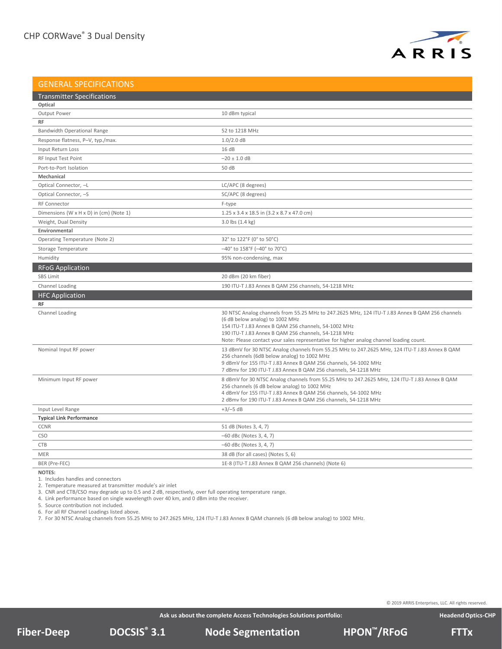

### GENERAL SPECIFICATIONS

| <b>Transmitter Specifications</b>              |                                                                                                                                    |
|------------------------------------------------|------------------------------------------------------------------------------------------------------------------------------------|
| Optical                                        |                                                                                                                                    |
| Output Power                                   | 10 dBm typical                                                                                                                     |
| <b>RF</b>                                      |                                                                                                                                    |
| Bandwidth Operational Range                    | 52 to 1218 MHz                                                                                                                     |
| Response flatness, P-V, typ./max.              | $1.0/2.0$ dB                                                                                                                       |
| Input Return Loss                              | 16dB                                                                                                                               |
| RF Input Test Point                            | $-20 \pm 1.0$ dB                                                                                                                   |
| Port-to-Port Isolation                         | 50 dB                                                                                                                              |
| Mechanical                                     |                                                                                                                                    |
| Optical Connector, -L                          | LC/APC (8 degrees)                                                                                                                 |
| Optical Connector, -S                          | SC/APC (8 degrees)                                                                                                                 |
| <b>RF Connector</b>                            | F-type                                                                                                                             |
| Dimensions (W x H x D) in (cm) (Note 1)        | 1.25 x 3.4 x 18.5 in (3.2 x 8.7 x 47.0 cm)                                                                                         |
| Weight, Dual Density                           | $3.0$ lbs $(1.4 \text{ kg})$                                                                                                       |
| Environmental                                  |                                                                                                                                    |
| Operating Temperature (Note 2)                 | 32° to 122°F (0° to 50°C)                                                                                                          |
| Storage Temperature                            | $-40^{\circ}$ to 158°F ( $-40^{\circ}$ to 70°C)                                                                                    |
| Humidity                                       | 95% non-condensing, max                                                                                                            |
| <b>RFoG Application</b>                        |                                                                                                                                    |
| <b>SBS Limit</b>                               | 20 dBm (20 km fiber)                                                                                                               |
| Channel Loading                                | 190 ITU-T J.83 Annex B QAM 256 channels, 54-1218 MHz                                                                               |
| <b>HFC Application</b>                         |                                                                                                                                    |
| <b>RF</b>                                      |                                                                                                                                    |
| Channel Loading                                | 30 NTSC Analog channels from 55.25 MHz to 247.2625 MHz, 124 ITU-T J.83 Annex B QAM 256 channels                                    |
|                                                | (6 dB below analog) to 1002 MHz                                                                                                    |
|                                                | 154 ITU-T J.83 Annex B QAM 256 channels, 54-1002 MHz<br>190 ITU-T J.83 Annex B QAM 256 channels, 54-1218 MHz                       |
|                                                | Note: Please contact your sales representative for higher analog channel loading count.                                            |
| Nominal Input RF power                         | 13 dBmV for 30 NTSC Analog channels from 55.25 MHz to 247.2625 MHz, 124 ITU-T J.83 Annex B QAM                                     |
|                                                | 256 channels (6dB below analog) to 1002 MHz                                                                                        |
|                                                | 9 dBmV for 155 ITU-T J.83 Annex B QAM 256 channels, 54-1002 MHz<br>7 dBmv for 190 ITU-T J.83 Annex B QAM 256 channels, 54-1218 MHz |
| Minimum Input RF power                         | 8 dBmV for 30 NTSC Analog channels from 55.25 MHz to 247.2625 MHz, 124 ITU-T J.83 Annex B QAM                                      |
|                                                | 256 channels (6 dB below analog) to 1002 MHz                                                                                       |
|                                                | 4 dBmV for 155 ITU-T J.83 Annex B QAM 256 channels, 54-1002 MHz                                                                    |
|                                                | 2 dBmv for 190 ITU-T J.83 Annex B QAM 256 channels, 54-1218 MHz                                                                    |
| Input Level Range                              | $+3/-5$ dB                                                                                                                         |
| <b>Typical Link Performance</b><br><b>CCNR</b> |                                                                                                                                    |
|                                                | 51 dB (Notes 3, 4, 7)                                                                                                              |
| <b>CSO</b>                                     | $-60$ dBc (Notes 3, 4, 7)                                                                                                          |
| <b>CTB</b>                                     | $-60$ dBc (Notes 3, 4, 7)                                                                                                          |
| <b>MER</b>                                     | 38 dB (for all cases) (Notes 5, 6)                                                                                                 |
| BER (Pre-FEC)                                  | 1E-8 (ITU-T J.83 Annex B QAM 256 channels) (Note 6)                                                                                |

**NOTES:**

1. Includes handles and connectors

2. Temperature measured at transmitter module's air inlet

3. CNR and CTB/CSO may degrade up to 0.5 and 2 dB, respectively, over full operating temperature range.

4. Link performance based on single wavelength over 40 km, and 0 dBm into the receiver.

5. Source contribution not included.

6. For all RF Channel Loadings listed above.

7. For 30 NTSC Analog channels from 55.25 MHz to 247.2625 MHz, 124 ITU‐T J.83 Annex B QAM channels (6 dB below analog) to 1002 MHz.

© 2019 ARRIS Enterprises, LLC. All rights reserved.

**DOCSIS Node Segmentation ® Fiber-Deep 3.1 HPON™/RFoG FTTx**

**Headend Optics-CHP**